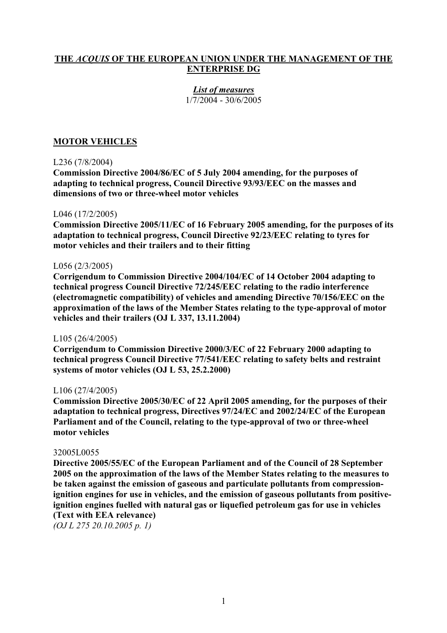# **THE** *ACQUIS* **OF THE EUROPEAN UNION UNDER THE MANAGEMENT OF THE ENTERPRISE DG**

#### *List of measures* 1/7/2004 - 30/6/2005

# **MOTOR VEHICLES**

#### L236 (7/8/2004)

**Commission Directive 2004/86/EC of 5 July 2004 amending, for the purposes of adapting to technical progress, Council Directive 93/93/EEC on the masses and dimensions of two or three-wheel motor vehicles** 

#### L046 (17/2/2005)

**Commission Directive 2005/11/EC of 16 February 2005 amending, for the purposes of its adaptation to technical progress, Council Directive 92/23/EEC relating to tyres for motor vehicles and their trailers and to their fitting** 

#### L056 (2/3/2005)

**Corrigendum to Commission Directive 2004/104/EC of 14 October 2004 adapting to technical progress Council Directive 72/245/EEC relating to the radio interference (electromagnetic compatibility) of vehicles and amending Directive 70/156/EEC on the approximation of the laws of the Member States relating to the type-approval of motor vehicles and their trailers (OJ L 337, 13.11.2004)**

#### L105 (26/4/2005)

**Corrigendum to Commission Directive 2000/3/EC of 22 February 2000 adapting to technical progress Council Directive 77/541/EEC relating to safety belts and restraint systems of motor vehicles (OJ L 53, 25.2.2000)**

#### L106 (27/4/2005)

**Commission Directive 2005/30/EC of 22 April 2005 amending, for the purposes of their adaptation to technical progress, Directives 97/24/EC and 2002/24/EC of the European Parliament and of the Council, relating to the type-approval of two or three-wheel motor vehicles** 

#### 32005L0055

**Directive 2005/55/EC of the European Parliament and of the Council of 28 September 2005 on the approximation of the laws of the Member States relating to the measures to be taken against the emission of gaseous and particulate pollutants from compressionignition engines for use in vehicles, and the emission of gaseous pollutants from positiveignition engines fuelled with natural gas or liquefied petroleum gas for use in vehicles (Text with EEA relevance)** 

*(OJ L 275 20.10.2005 p. 1)*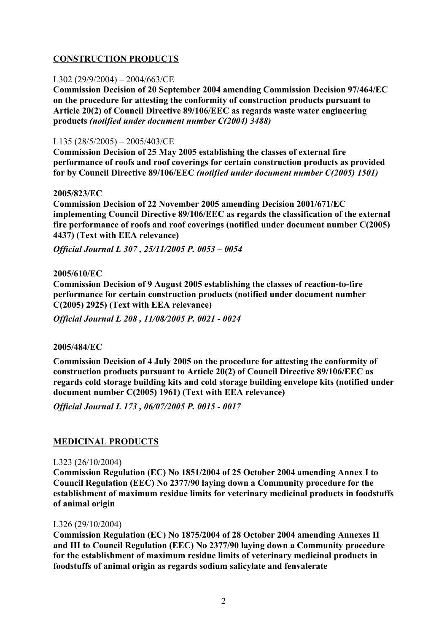# **CONSTRUCTION PRODUCTS**

### L302 (29/9/2004) – 2004/663/CE

**Commission Decision of 20 September 2004 amending Commission Decision 97/464/EC on the procedure for attesting the conformity of construction products pursuant to Article 20(2) of Council Directive 89/106/EEC as regards waste water engineering products** *(notified under document number C(2004) 3488)*

### L135 (28/5/2005) – 2005/403/CE

**Commission Decision of 25 May 2005 establishing the classes of external fire performance of roofs and roof coverings for certain construction products as provided for by Council Directive 89/106/EEC** *(notified under document number C(2005) 1501)*

#### **2005/823/EC**

**Commission Decision of 22 November 2005 amending Decision 2001/671/EC implementing Council Directive 89/106/EEC as regards the classification of the external fire performance of roofs and roof coverings (notified under document number C(2005) 4437) (Text with EEA relevance)**

*Official Journal L 307 , 25/11/2005 P. 0053 – 0054* 

#### **2005/610/EC**

**Commission Decision of 9 August 2005 establishing the classes of reaction-to-fire performance for certain construction products (notified under document number C(2005) 2925) (Text with EEA relevance)** 

*Official Journal L 208 , 11/08/2005 P. 0021 - 0024*

#### **2005/484/EC**

**Commission Decision of 4 July 2005 on the procedure for attesting the conformity of construction products pursuant to Article 20(2) of Council Directive 89/106/EEC as regards cold storage building kits and cold storage building envelope kits (notified under document number C(2005) 1961) (Text with EEA relevance)** 

*Official Journal L 173 , 06/07/2005 P. 0015 - 0017*

#### **MEDICINAL PRODUCTS**

#### L323 (26/10/2004)

**Commission Regulation (EC) No 1851/2004 of 25 October 2004 amending Annex I to Council Regulation (EEC) No 2377/90 laying down a Community procedure for the establishment of maximum residue limits for veterinary medicinal products in foodstuffs of animal origin** 

#### L326 (29/10/2004)

**Commission Regulation (EC) No 1875/2004 of 28 October 2004 amending Annexes II and III to Council Regulation (EEC) No 2377/90 laying down a Community procedure for the establishment of maximum residue limits of veterinary medicinal products in foodstuffs of animal origin as regards sodium salicylate and fenvalerate**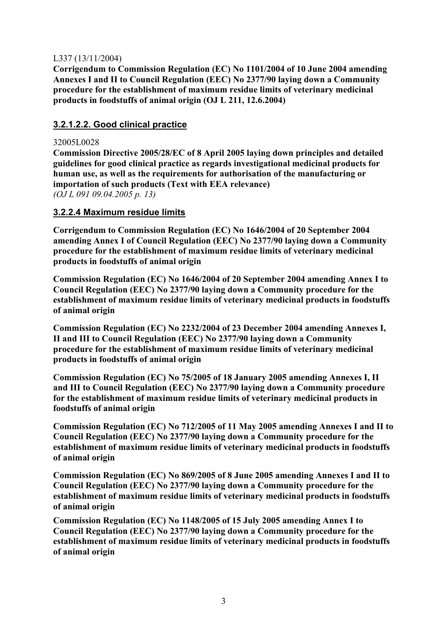## L337 (13/11/2004)

**Corrigendum to Commission Regulation (EC) No 1101/2004 of 10 June 2004 amending Annexes I and II to Council Regulation (EEC) No 2377/90 laying down a Community procedure for the establishment of maximum residue limits of veterinary medicinal products in foodstuffs of animal origin (OJ L 211, 12.6.2004)** 

# **3.2.1.2.2. Good clinical practice**

### 32005L0028

**Commission Directive 2005/28/EC of 8 April 2005 laying down principles and detailed guidelines for good clinical practice as regards investigational medicinal products for human use, as well as the requirements for authorisation of the manufacturing or importation of such products (Text with EEA relevance)**  *(OJ L 091 09.04.2005 p. 13)*

### **3.2.2.4 Maximum residue limits**

**Corrigendum to Commission Regulation (EC) No 1646/2004 of 20 September 2004 amending Annex I of Council Regulation (EEC) No 2377/90 laying down a Community procedure for the establishment of maximum residue limits of veterinary medicinal products in foodstuffs of animal origin** 

**Commission Regulation (EC) No 1646/2004 of 20 September 2004 amending Annex I to Council Regulation (EEC) No 2377/90 laying down a Community procedure for the establishment of maximum residue limits of veterinary medicinal products in foodstuffs of animal origin** 

**Commission Regulation (EC) No 2232/2004 of 23 December 2004 amending Annexes I, II and III to Council Regulation (EEC) No 2377/90 laying down a Community procedure for the establishment of maximum residue limits of veterinary medicinal products in foodstuffs of animal origin** 

**Commission Regulation (EC) No 75/2005 of 18 January 2005 amending Annexes I, II and III to Council Regulation (EEC) No 2377/90 laying down a Community procedure for the establishment of maximum residue limits of veterinary medicinal products in foodstuffs of animal origin** 

**Commission Regulation (EC) No 712/2005 of 11 May 2005 amending Annexes I and II to Council Regulation (EEC) No 2377/90 laying down a Community procedure for the establishment of maximum residue limits of veterinary medicinal products in foodstuffs of animal origin** 

**Commission Regulation (EC) No 869/2005 of 8 June 2005 amending Annexes I and II to Council Regulation (EEC) No 2377/90 laying down a Community procedure for the establishment of maximum residue limits of veterinary medicinal products in foodstuffs of animal origin** 

**Commission Regulation (EC) No 1148/2005 of 15 July 2005 amending Annex I to Council Regulation (EEC) No 2377/90 laying down a Community procedure for the establishment of maximum residue limits of veterinary medicinal products in foodstuffs of animal origin**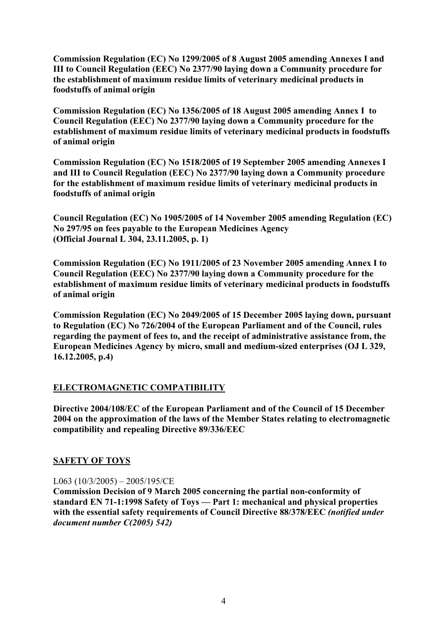**Commission Regulation (EC) No 1299/2005 of 8 August 2005 amending Annexes I and III to Council Regulation (EEC) No 2377/90 laying down a Community procedure for the establishment of maximum residue limits of veterinary medicinal products in foodstuffs of animal origin**

**Commission Regulation (EC) No 1356/2005 of 18 August 2005 amending Annex I to Council Regulation (EEC) No 2377/90 laying down a Community procedure for the establishment of maximum residue limits of veterinary medicinal products in foodstuffs of animal origin** 

**Commission Regulation (EC) No 1518/2005 of 19 September 2005 amending Annexes I and III to Council Regulation (EEC) No 2377/90 laying down a Community procedure for the establishment of maximum residue limits of veterinary medicinal products in foodstuffs of animal origin**

**Council Regulation (EC) No 1905/2005 of 14 November 2005 amending Regulation (EC) No 297/95 on fees payable to the European Medicines Agency (Official Journal L 304, 23.11.2005, p. 1)** 

**Commission Regulation (EC) No 1911/2005 of 23 November 2005 amending Annex I to Council Regulation (EEC) No 2377/90 laying down a Community procedure for the establishment of maximum residue limits of veterinary medicinal products in foodstuffs of animal origin**

**Commission Regulation (EC) No 2049/2005 of 15 December 2005 laying down, pursuant to Regulation (EC) No 726/2004 of the European Parliament and of the Council, rules regarding the payment of fees to, and the receipt of administrative assistance from, the European Medicines Agency by micro, small and medium-sized enterprises (OJ L 329, 16.12.2005, p.4)** 

# **ELECTROMAGNETIC COMPATIBILITY**

**Directive 2004/108/EC of the European Parliament and of the Council of 15 December 2004 on the approximation of the laws of the Member States relating to electromagnetic compatibility and repealing Directive 89/336/EEC** 

# **SAFETY OF TOYS**

L063 (10/3/2005) – 2005/195/CE

**Commission Decision of 9 March 2005 concerning the partial non-conformity of standard EN 71-1:1998 Safety of Toys — Part 1: mechanical and physical properties with the essential safety requirements of Council Directive 88/378/EEC** *(notified under document number C(2005) 542)*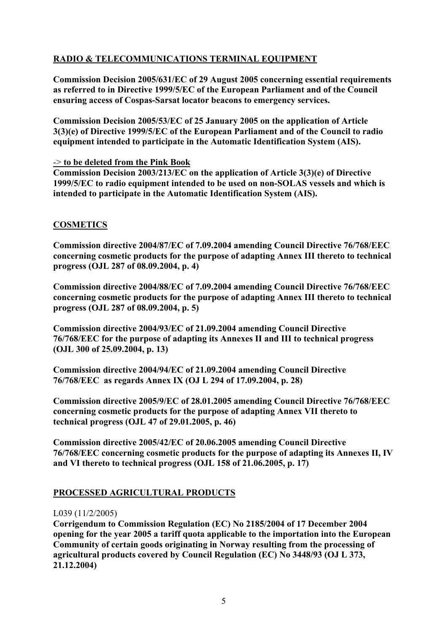# **RADIO & TELECOMMUNICATIONS TERMINAL EQUIPMENT**

**Commission Decision 2005/631/EC of 29 August 2005 concerning essential requirements as referred to in Directive 1999/5/EC of the European Parliament and of the Council ensuring access of Cospas-Sarsat locator beacons to emergency services.** 

**Commission Decision 2005/53/EC of 25 January 2005 on the application of Article 3(3)(e) of Directive 1999/5/EC of the European Parliament and of the Council to radio equipment intended to participate in the Automatic Identification System (AIS).** 

### -> **to be deleted from the Pink Book**

**Commission Decision 2003/213/EC on the application of Article 3(3)(e) of Directive 1999/5/EC to radio equipment intended to be used on non-SOLAS vessels and which is intended to participate in the Automatic Identification System (AIS).** 

# **COSMETICS**

**Commission directive 2004/87/EC of 7.09.2004 amending Council Directive 76/768/EEC concerning cosmetic products for the purpose of adapting Annex III thereto to technical progress (OJL 287 of 08.09.2004, p. 4)** 

**Commission directive 2004/88/EC of 7.09.2004 amending Council Directive 76/768/EEC concerning cosmetic products for the purpose of adapting Annex III thereto to technical progress (OJL 287 of 08.09.2004, p. 5)** 

**Commission directive 2004/93/EC of 21.09.2004 amending Council Directive 76/768/EEC for the purpose of adapting its Annexes II and III to technical progress (OJL 300 of 25.09.2004, p. 13)** 

**Commission directive 2004/94/EC of 21.09.2004 amending Council Directive 76/768/EEC as regards Annex IX (OJ L 294 of 17.09.2004, p. 28)** 

**Commission directive 2005/9/EC of 28.01.2005 amending Council Directive 76/768/EEC concerning cosmetic products for the purpose of adapting Annex VII thereto to technical progress (OJL 47 of 29.01.2005, p. 46)** 

**Commission directive 2005/42/EC of 20.06.2005 amending Council Directive 76/768/EEC concerning cosmetic products for the purpose of adapting its Annexes II, IV and VI thereto to technical progress (OJL 158 of 21.06.2005, p. 17)**

# **PROCESSED AGRICULTURAL PRODUCTS**

#### L039 (11/2/2005)

**Corrigendum to Commission Regulation (EC) No 2185/2004 of 17 December 2004 opening for the year 2005 a tariff quota applicable to the importation into the European Community of certain goods originating in Norway resulting from the processing of agricultural products covered by Council Regulation (EC) No 3448/93 (OJ L 373, 21.12.2004)**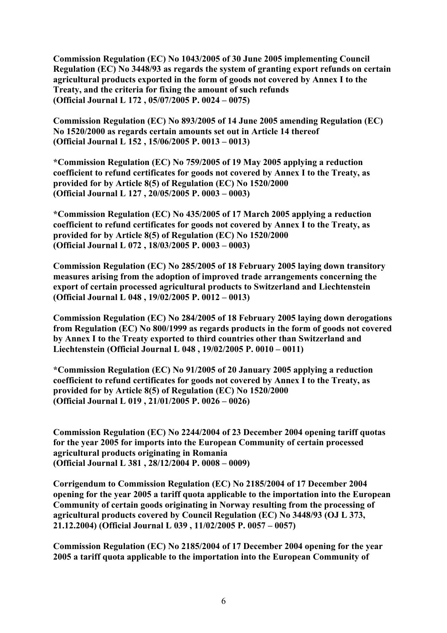**Commission Regulation (EC) No 1043/2005 of 30 June 2005 implementing Council Regulation (EC) No 3448/93 as regards the system of granting export refunds on certain agricultural products exported in the form of goods not covered by Annex I to the Treaty, and the criteria for fixing the amount of such refunds (Official Journal L 172 , 05/07/2005 P. 0024 – 0075)** 

**Commission Regulation (EC) No 893/2005 of 14 June 2005 amending Regulation (EC) No 1520/2000 as regards certain amounts set out in Article 14 thereof (Official Journal L 152 , 15/06/2005 P. 0013 – 0013)** 

**\*Commission Regulation (EC) No 759/2005 of 19 May 2005 applying a reduction coefficient to refund certificates for goods not covered by Annex I to the Treaty, as provided for by Article 8(5) of Regulation (EC) No 1520/2000 (Official Journal L 127 , 20/05/2005 P. 0003 – 0003)** 

**\*Commission Regulation (EC) No 435/2005 of 17 March 2005 applying a reduction coefficient to refund certificates for goods not covered by Annex I to the Treaty, as provided for by Article 8(5) of Regulation (EC) No 1520/2000 (Official Journal L 072 , 18/03/2005 P. 0003 – 0003)** 

**Commission Regulation (EC) No 285/2005 of 18 February 2005 laying down transitory measures arising from the adoption of improved trade arrangements concerning the export of certain processed agricultural products to Switzerland and Liechtenstein (Official Journal L 048 , 19/02/2005 P. 0012 – 0013)** 

**Commission Regulation (EC) No 284/2005 of 18 February 2005 laying down derogations from Regulation (EC) No 800/1999 as regards products in the form of goods not covered by Annex I to the Treaty exported to third countries other than Switzerland and Liechtenstein (Official Journal L 048 , 19/02/2005 P. 0010 – 0011)** 

**\*Commission Regulation (EC) No 91/2005 of 20 January 2005 applying a reduction coefficient to refund certificates for goods not covered by Annex I to the Treaty, as provided for by Article 8(5) of Regulation (EC) No 1520/2000 (Official Journal L 019 , 21/01/2005 P. 0026 – 0026)** 

**Commission Regulation (EC) No 2244/2004 of 23 December 2004 opening tariff quotas for the year 2005 for imports into the European Community of certain processed agricultural products originating in Romania (Official Journal L 381 , 28/12/2004 P. 0008 – 0009)** 

**Corrigendum to Commission Regulation (EC) No 2185/2004 of 17 December 2004 opening for the year 2005 a tariff quota applicable to the importation into the European Community of certain goods originating in Norway resulting from the processing of agricultural products covered by Council Regulation (EC) No 3448/93 (OJ L 373, 21.12.2004) (Official Journal L 039 , 11/02/2005 P. 0057 – 0057)** 

**Commission Regulation (EC) No 2185/2004 of 17 December 2004 opening for the year 2005 a tariff quota applicable to the importation into the European Community of**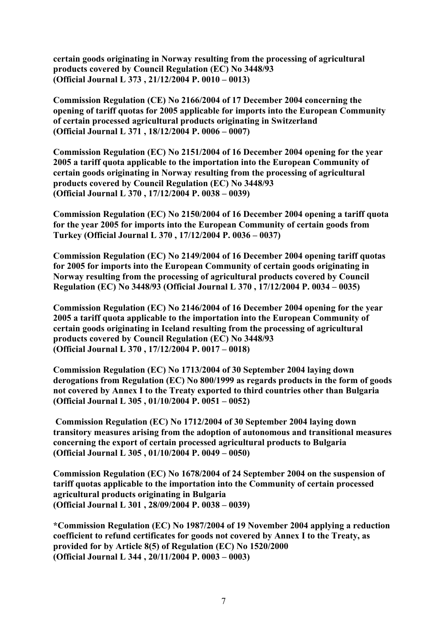**certain goods originating in Norway resulting from the processing of agricultural products covered by Council Regulation (EC) No 3448/93 (Official Journal L 373 , 21/12/2004 P. 0010 – 0013)** 

**Commission Regulation (CE) No 2166/2004 of 17 December 2004 concerning the opening of tariff quotas for 2005 applicable for imports into the European Community of certain processed agricultural products originating in Switzerland (Official Journal L 371 , 18/12/2004 P. 0006 – 0007)** 

**Commission Regulation (EC) No 2151/2004 of 16 December 2004 opening for the year 2005 a tariff quota applicable to the importation into the European Community of certain goods originating in Norway resulting from the processing of agricultural products covered by Council Regulation (EC) No 3448/93 (Official Journal L 370 , 17/12/2004 P. 0038 – 0039)** 

**Commission Regulation (EC) No 2150/2004 of 16 December 2004 opening a tariff quota for the year 2005 for imports into the European Community of certain goods from Turkey (Official Journal L 370 , 17/12/2004 P. 0036 – 0037)** 

**Commission Regulation (EC) No 2149/2004 of 16 December 2004 opening tariff quotas for 2005 for imports into the European Community of certain goods originating in Norway resulting from the processing of agricultural products covered by Council Regulation (EC) No 3448/93 (Official Journal L 370 , 17/12/2004 P. 0034 – 0035)** 

**Commission Regulation (EC) No 2146/2004 of 16 December 2004 opening for the year 2005 a tariff quota applicable to the importation into the European Community of certain goods originating in Iceland resulting from the processing of agricultural products covered by Council Regulation (EC) No 3448/93 (Official Journal L 370 , 17/12/2004 P. 0017 – 0018)** 

**Commission Regulation (EC) No 1713/2004 of 30 September 2004 laying down derogations from Regulation (EC) No 800/1999 as regards products in the form of goods not covered by Annex I to the Treaty exported to third countries other than Bulgaria (Official Journal L 305 , 01/10/2004 P. 0051 – 0052)** 

 **Commission Regulation (EC) No 1712/2004 of 30 September 2004 laying down transitory measures arising from the adoption of autonomous and transitional measures concerning the export of certain processed agricultural products to Bulgaria (Official Journal L 305 , 01/10/2004 P. 0049 – 0050)** 

**Commission Regulation (EC) No 1678/2004 of 24 September 2004 on the suspension of tariff quotas applicable to the importation into the Community of certain processed agricultural products originating in Bulgaria (Official Journal L 301 , 28/09/2004 P. 0038 – 0039)** 

**\*Commission Regulation (EC) No 1987/2004 of 19 November 2004 applying a reduction coefficient to refund certificates for goods not covered by Annex I to the Treaty, as provided for by Article 8(5) of Regulation (EC) No 1520/2000 (Official Journal L 344 , 20/11/2004 P. 0003 – 0003)**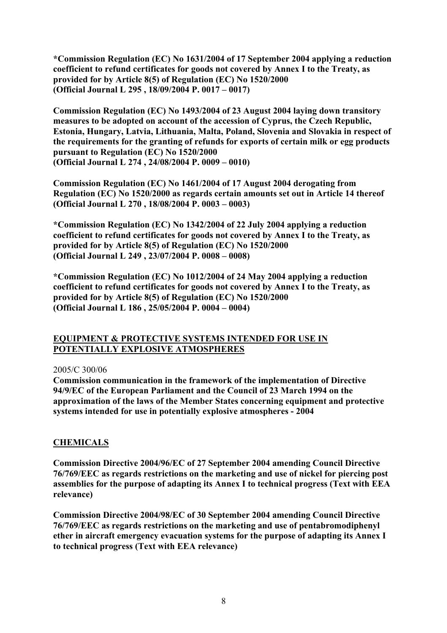**\*Commission Regulation (EC) No 1631/2004 of 17 September 2004 applying a reduction coefficient to refund certificates for goods not covered by Annex I to the Treaty, as provided for by Article 8(5) of Regulation (EC) No 1520/2000 (Official Journal L 295 , 18/09/2004 P. 0017 – 0017)** 

**Commission Regulation (EC) No 1493/2004 of 23 August 2004 laying down transitory measures to be adopted on account of the accession of Cyprus, the Czech Republic, Estonia, Hungary, Latvia, Lithuania, Malta, Poland, Slovenia and Slovakia in respect of the requirements for the granting of refunds for exports of certain milk or egg products pursuant to Regulation (EC) No 1520/2000 (Official Journal L 274 , 24/08/2004 P. 0009 – 0010)** 

**Commission Regulation (EC) No 1461/2004 of 17 August 2004 derogating from Regulation (EC) No 1520/2000 as regards certain amounts set out in Article 14 thereof (Official Journal L 270 , 18/08/2004 P. 0003 – 0003)** 

**\*Commission Regulation (EC) No 1342/2004 of 22 July 2004 applying a reduction coefficient to refund certificates for goods not covered by Annex I to the Treaty, as provided for by Article 8(5) of Regulation (EC) No 1520/2000 (Official Journal L 249 , 23/07/2004 P. 0008 – 0008)** 

**\*Commission Regulation (EC) No 1012/2004 of 24 May 2004 applying a reduction coefficient to refund certificates for goods not covered by Annex I to the Treaty, as provided for by Article 8(5) of Regulation (EC) No 1520/2000 (Official Journal L 186 , 25/05/2004 P. 0004 – 0004)** 

### **EQUIPMENT & PROTECTIVE SYSTEMS INTENDED FOR USE IN POTENTIALLY EXPLOSIVE ATMOSPHERES**

# 2005/C 300/06

**Commission communication in the framework of the implementation of Directive 94/9/EC of the European Parliament and the Council of 23 March 1994 on the approximation of the laws of the Member States concerning equipment and protective systems intended for use in potentially explosive atmospheres - 2004**

# **CHEMICALS**

**Commission Directive 2004/96/EC of 27 September 2004 amending Council Directive 76/769/EEC as regards restrictions on the marketing and use of nickel for piercing post assemblies for the purpose of adapting its Annex I to technical progress (Text with EEA relevance)** 

**Commission Directive 2004/98/EC of 30 September 2004 amending Council Directive 76/769/EEC as regards restrictions on the marketing and use of pentabromodiphenyl ether in aircraft emergency evacuation systems for the purpose of adapting its Annex I to technical progress (Text with EEA relevance)**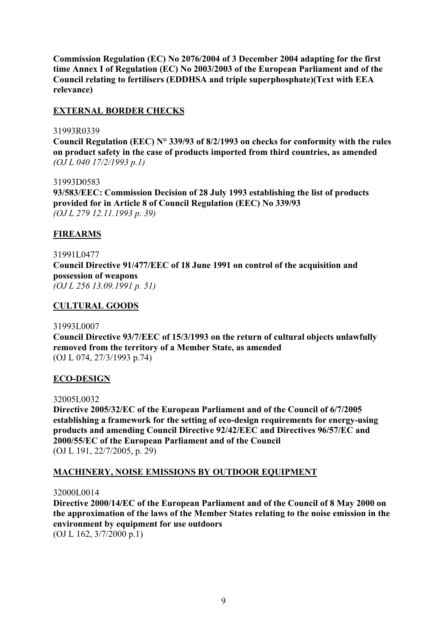**Commission Regulation (EC) No 2076/2004 of 3 December 2004 adapting for the first time Annex I of Regulation (EC) No 2003/2003 of the European Parliament and of the Council relating to fertilisers (EDDHSA and triple superphosphate)(Text with EEA relevance)** 

## **EXTERNAL BORDER CHECKS**

#### 31993R0339

**Council Regulation (EEC) N° 339/93 of 8/2/1993 on checks for conformity with the rules on product safety in the case of products imported from third countries, as amended**  *(OJ L 040 17/2/1993 p.1)*

31993D0583 **93/583/EEC: Commission Decision of 28 July 1993 establishing the list of products provided for in Article 8 of Council Regulation (EEC) No 339/93**  *(OJ L 279 12.11.1993 p. 39)*

### **FIREARMS**

31991L0477 **Council Directive 91/477/EEC of 18 June 1991 on control of the acquisition and possession of weapons**  *(OJ L 256 13.09.1991 p. 51)* 

### **CULTURAL GOODS**

#### 31993L0007

**Council Directive 93/7/EEC of 15/3/1993 on the return of cultural objects unlawfully removed from the territory of a Member State, as amended**  (OJ L 074, 27/3/1993 p.74)

#### **ECO-DESIGN**

#### 32005L0032

**Directive 2005/32/EC of the European Parliament and of the Council of 6/7/2005 establishing a framework for the setting of eco-design requirements for energy-using products and amending Council Directive 92/42/EEC and Directives 96/57/EC and 2000/55/EC of the European Parliament and of the Council**  (OJ L 191, 22/7/2005, p. 29)

# **MACHINERY, NOISE EMISSIONS BY OUTDOOR EQUIPMENT**

#### 32000L0014

**Directive 2000/14/EC of the European Parliament and of the Council of 8 May 2000 on the approximation of the laws of the Member States relating to the noise emission in the environment by equipment for use outdoors** 

(OJ L 162, 3/7/2000 p.1)